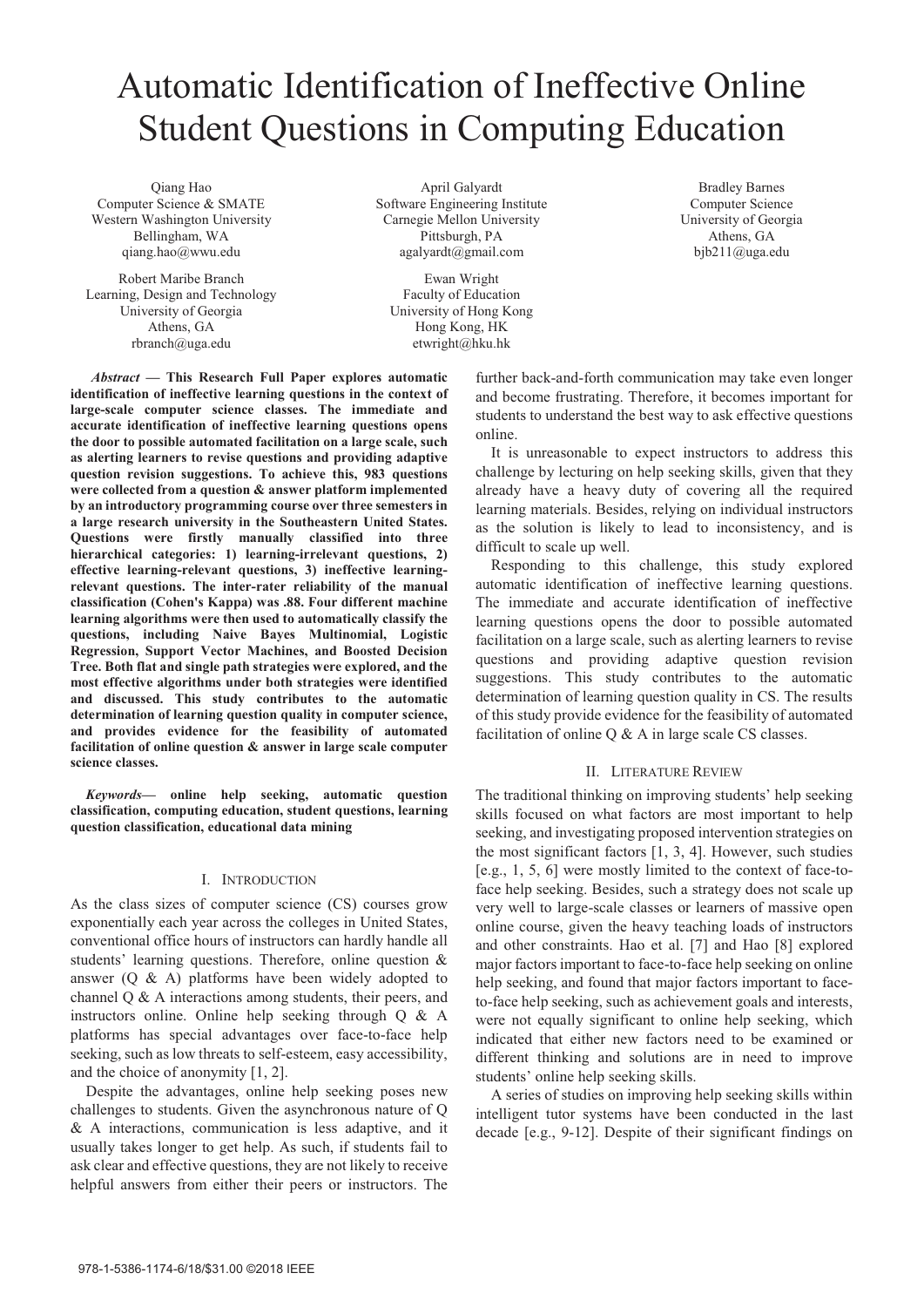# Automatic Identification of Ineffective Online Student Questions in Computing Education

Qiang Hao Computer Science & SMATE Western Washington University Bellingham, WA qiang.hao@wwu.edu

Robert Maribe Branch Learning, Design and Technology University of Georgia Athens, GA rbranch@uga.edu

April Galyardt Software Engineering Institute Carnegie Mellon University Pittsburgh, PA agalyardt@gmail.com

Ewan Wright Faculty of Education University of Hong Kong Hong Kong, HK etwright@hku.hk

*Abstract* **— This Research Full Paper explores automatic identification of ineffective learning questions in the context of large-scale computer science classes. The immediate and accurate identification of ineffective learning questions opens the door to possible automated facilitation on a large scale, such as alerting learners to revise questions and providing adaptive question revision suggestions. To achieve this, 983 questions were collected from a question & answer platform implemented by an introductory programming course over three semesters in a large research university in the Southeastern United States. Questions were firstly manually classified into three hierarchical categories: 1) learning-irrelevant questions, 2) effective learning-relevant questions, 3) ineffective learningrelevant questions. The inter-rater reliability of the manual classification (Cohen's Kappa) was .88. Four different machine learning algorithms were then used to automatically classify the questions, including Naive Bayes Multinomial, Logistic Regression, Support Vector Machines, and Boosted Decision Tree. Both flat and single path strategies were explored, and the most effective algorithms under both strategies were identified and discussed. This study contributes to the automatic determination of learning question quality in computer science, and provides evidence for the feasibility of automated facilitation of online question & answer in large scale computer science classes.** 

*Keywords***— online help seeking, automatic question classification, computing education, student questions, learning question classification, educational data mining** 

## I. INTRODUCTION

As the class sizes of computer science (CS) courses grow exponentially each year across the colleges in United States, conventional office hours of instructors can hardly handle all students' learning questions. Therefore, online question & answer ( $\overline{O}$  & A) platforms have been widely adopted to channel  $\overline{O}$  & A interactions among students, their peers, and instructors online. Online help seeking through Q & A platforms has special advantages over face-to-face help seeking, such as low threats to self-esteem, easy accessibility, and the choice of anonymity [1, 2].

Despite the advantages, online help seeking poses new challenges to students. Given the asynchronous nature of Q & A interactions, communication is less adaptive, and it usually takes longer to get help. As such, if students fail to ask clear and effective questions, they are not likely to receive helpful answers from either their peers or instructors. The

further back-and-forth communication may take even longer and become frustrating. Therefore, it becomes important for students to understand the best way to ask effective questions online.

It is unreasonable to expect instructors to address this challenge by lecturing on help seeking skills, given that they already have a heavy duty of covering all the required learning materials. Besides, relying on individual instructors as the solution is likely to lead to inconsistency, and is difficult to scale up well.

Responding to this challenge, this study explored automatic identification of ineffective learning questions. The immediate and accurate identification of ineffective learning questions opens the door to possible automated facilitation on a large scale, such as alerting learners to revise questions and providing adaptive question revision suggestions. This study contributes to the automatic determination of learning question quality in CS. The results of this study provide evidence for the feasibility of automated facilitation of online Q & A in large scale CS classes.

## II. LITERATURE REVIEW

The traditional thinking on improving students' help seeking skills focused on what factors are most important to help seeking, and investigating proposed intervention strategies on the most significant factors [1, 3, 4]. However, such studies [e.g., 1, 5, 6] were mostly limited to the context of face-toface help seeking. Besides, such a strategy does not scale up very well to large-scale classes or learners of massive open online course, given the heavy teaching loads of instructors and other constraints. Hao et al. [7] and Hao [8] explored major factors important to face-to-face help seeking on online help seeking, and found that major factors important to faceto-face help seeking, such as achievement goals and interests, were not equally significant to online help seeking, which indicated that either new factors need to be examined or different thinking and solutions are in need to improve students' online help seeking skills.

A series of studies on improving help seeking skills within intelligent tutor systems have been conducted in the last decade [e.g., 9-12]. Despite of their significant findings on

Bradley Barnes Computer Science University of Georgia Athens, GA bjb211@uga.edu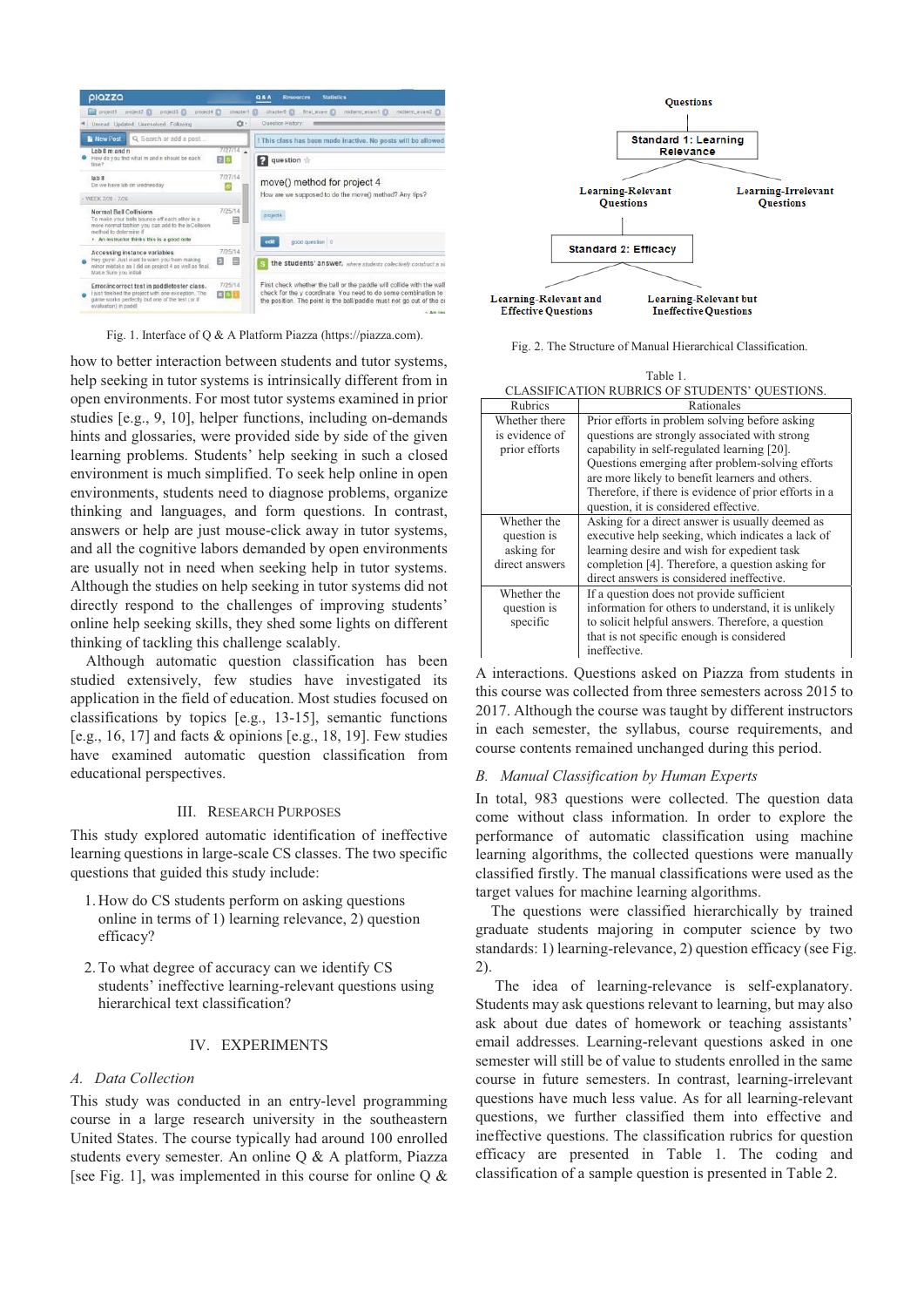

Fig. 1. Interface of Q & A Platform Piazza (https://piazza.com).

how to better interaction between students and tutor systems, help seeking in tutor systems is intrinsically different from in open environments. For most tutor systems examined in prior studies [e.g., 9, 10], helper functions, including on-demands hints and glossaries, were provided side by side of the given learning problems. Students' help seeking in such a closed environment is much simplified. To seek help online in open environments, students need to diagnose problems, organize thinking and languages, and form questions. In contrast, answers or help are just mouse-click away in tutor systems, and all the cognitive labors demanded by open environments are usually not in need when seeking help in tutor systems. Although the studies on help seeking in tutor systems did not directly respond to the challenges of improving students' online help seeking skills, they shed some lights on different thinking of tackling this challenge scalably.

Although automatic question classification has been studied extensively, few studies have investigated its application in the field of education. Most studies focused on classifications by topics [e.g., 13-15], semantic functions [e.g., 16, 17] and facts & opinions [e.g., 18, 19]. Few studies have examined automatic question classification from educational perspectives.

### III. RESEARCH PURPOSES

This study explored automatic identification of ineffective learning questions in large-scale CS classes. The two specific questions that guided this study include:

- 1. How do CS students perform on asking questions online in terms of 1) learning relevance, 2) question efficacy?
- 2.To what degree of accuracy can we identify CS students' ineffective learning-relevant questions using hierarchical text classification?

# IV. EXPERIMENTS

## *A. Data Collection*

This study was conducted in an entry-level programming course in a large research university in the southeastern United States. The course typically had around 100 enrolled students every semester. An online Q & A platform, Piazza [see Fig. 1], was implemented in this course for online  $Q \&$ 



Fig. 2. The Structure of Manual Hierarchical Classification.

| Table 1.                                       |  |
|------------------------------------------------|--|
| CLASSIFICATION RUBRICS OF STUDENTS' OUESTIONS. |  |

| Rubrics                         | Rationales                                                                                          |
|---------------------------------|-----------------------------------------------------------------------------------------------------|
| Whether there                   | Prior efforts in problem solving before asking                                                      |
| is evidence of<br>prior efforts | questions are strongly associated with strong<br>capability in self-regulated learning [20].        |
|                                 | Questions emerging after problem-solving efforts<br>are more likely to benefit learners and others. |
|                                 | Therefore, if there is evidence of prior efforts in a                                               |
|                                 | question, it is considered effective.                                                               |
| Whether the                     | Asking for a direct answer is usually deemed as                                                     |
| question is                     | executive help seeking, which indicates a lack of                                                   |
| asking for                      | learning desire and wish for expedient task                                                         |
| direct answers                  | completion [4]. Therefore, a question asking for                                                    |
|                                 | direct answers is considered ineffective.                                                           |
| Whether the                     | If a question does not provide sufficient                                                           |
| question is                     | information for others to understand, it is unlikely                                                |
| specific                        | to solicit helpful answers. Therefore, a question                                                   |
|                                 | that is not specific enough is considered                                                           |
|                                 | ineffective.                                                                                        |

A interactions. Questions asked on Piazza from students in this course was collected from three semesters across 2015 to 2017. Although the course was taught by different instructors in each semester, the syllabus, course requirements, and course contents remained unchanged during this period.

## *B. Manual Classification by Human Experts*

In total, 983 questions were collected. The question data come without class information. In order to explore the performance of automatic classification using machine learning algorithms, the collected questions were manually classified firstly. The manual classifications were used as the target values for machine learning algorithms.

The questions were classified hierarchically by trained graduate students majoring in computer science by two standards: 1) learning-relevance, 2) question efficacy (see Fig. 2).

 The idea of learning-relevance is self-explanatory. Students may ask questions relevant to learning, but may also ask about due dates of homework or teaching assistants' email addresses. Learning-relevant questions asked in one semester will still be of value to students enrolled in the same course in future semesters. In contrast, learning-irrelevant questions have much less value. As for all learning-relevant questions, we further classified them into effective and ineffective questions. The classification rubrics for question efficacy are presented in Table 1. The coding and classification of a sample question is presented in Table 2.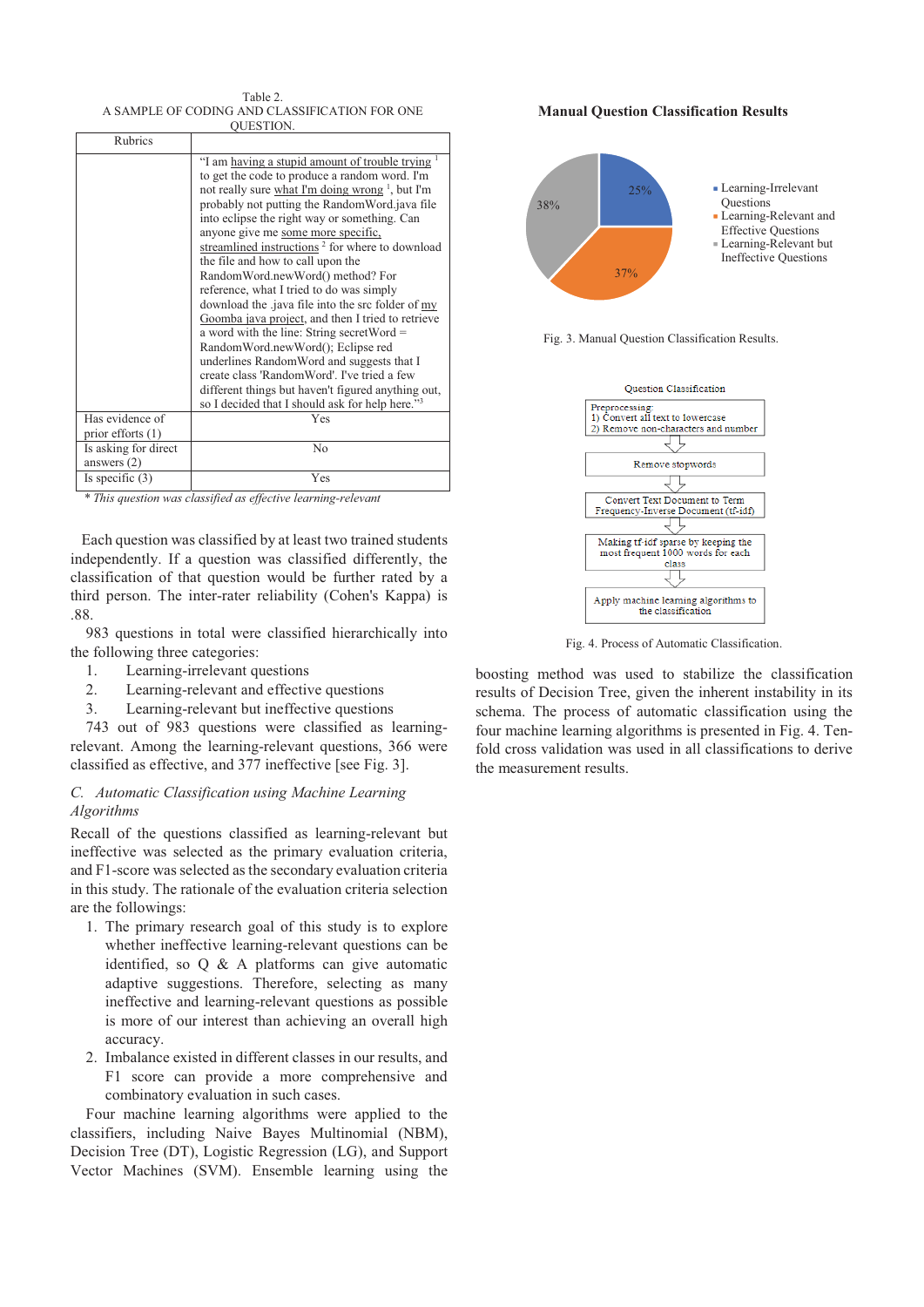Table 2. A SAMPLE OF CODING AND CLASSIFICATION FOR ONE QUESTION.

| Rubrics                                |                                                                                                                                                                                                                                                                                                                                                                                                                                                                                                                                                                                                                                                                                                                                                                                                                                                                                                           |
|----------------------------------------|-----------------------------------------------------------------------------------------------------------------------------------------------------------------------------------------------------------------------------------------------------------------------------------------------------------------------------------------------------------------------------------------------------------------------------------------------------------------------------------------------------------------------------------------------------------------------------------------------------------------------------------------------------------------------------------------------------------------------------------------------------------------------------------------------------------------------------------------------------------------------------------------------------------|
|                                        | "I am having a stupid amount of trouble trying<br>to get the code to produce a random word. I'm<br>not really sure what I'm doing wrong <sup>1</sup> , but I'm<br>probably not putting the RandomWord.java file<br>into eclipse the right way or something. Can<br>anyone give me some more specific.<br>streamlined instructions <sup>2</sup> for where to download<br>the file and how to call upon the<br>RandomWord.newWord() method? For<br>reference, what I tried to do was simply<br>download the .java file into the src folder of my<br>Goomba java project, and then I tried to retrieve<br>a word with the line: String secret Word $=$<br>RandomWord.newWord(); Eclipse red<br>underlines RandomWord and suggests that I<br>create class 'RandomWord'. I've tried a few<br>different things but haven't figured anything out,<br>so I decided that I should ask for help here." <sup>3</sup> |
| Has evidence of<br>prior efforts $(1)$ | Yes                                                                                                                                                                                                                                                                                                                                                                                                                                                                                                                                                                                                                                                                                                                                                                                                                                                                                                       |
| Is asking for direct<br>answers $(2)$  | No                                                                                                                                                                                                                                                                                                                                                                                                                                                                                                                                                                                                                                                                                                                                                                                                                                                                                                        |
| Is specific $(3)$                      | Yes                                                                                                                                                                                                                                                                                                                                                                                                                                                                                                                                                                                                                                                                                                                                                                                                                                                                                                       |

*\* This question was classified as effective learning-relevant* 

Each question was classified by at least two trained students independently. If a question was classified differently, the classification of that question would be further rated by a third person. The inter-rater reliability (Cohen's Kappa) is .88.

983 questions in total were classified hierarchically into the following three categories:

- 1. Learning-irrelevant questions
- 2. Learning-relevant and effective questions
- 3. Learning-relevant but ineffective questions

743 out of 983 questions were classified as learningrelevant. Among the learning-relevant questions, 366 were classified as effective, and 377 ineffective [see Fig. 3].

# *C. Automatic Classification using Machine Learning Algorithms*

Recall of the questions classified as learning-relevant but ineffective was selected as the primary evaluation criteria, and F1-score was selected as the secondary evaluation criteria in this study. The rationale of the evaluation criteria selection are the followings:

- 1. The primary research goal of this study is to explore whether ineffective learning-relevant questions can be identified, so Q & A platforms can give automatic adaptive suggestions. Therefore, selecting as many ineffective and learning-relevant questions as possible is more of our interest than achieving an overall high accuracy.
- 2. Imbalance existed in different classes in our results, and F1 score can provide a more comprehensive and combinatory evaluation in such cases.

Four machine learning algorithms were applied to the classifiers, including Naive Bayes Multinomial (NBM), Decision Tree (DT), Logistic Regression (LG), and Support Vector Machines (SVM). Ensemble learning using the





Learning-Relevant but Ineffective Questions

Fig. 3. Manual Question Classification Results.

37%



Fig. 4. Process of Automatic Classification.

boosting method was used to stabilize the classification results of Decision Tree, given the inherent instability in its schema. The process of automatic classification using the four machine learning algorithms is presented in Fig. 4. Tenfold cross validation was used in all classifications to derive the measurement results.

#### **Manual Question Classification Results**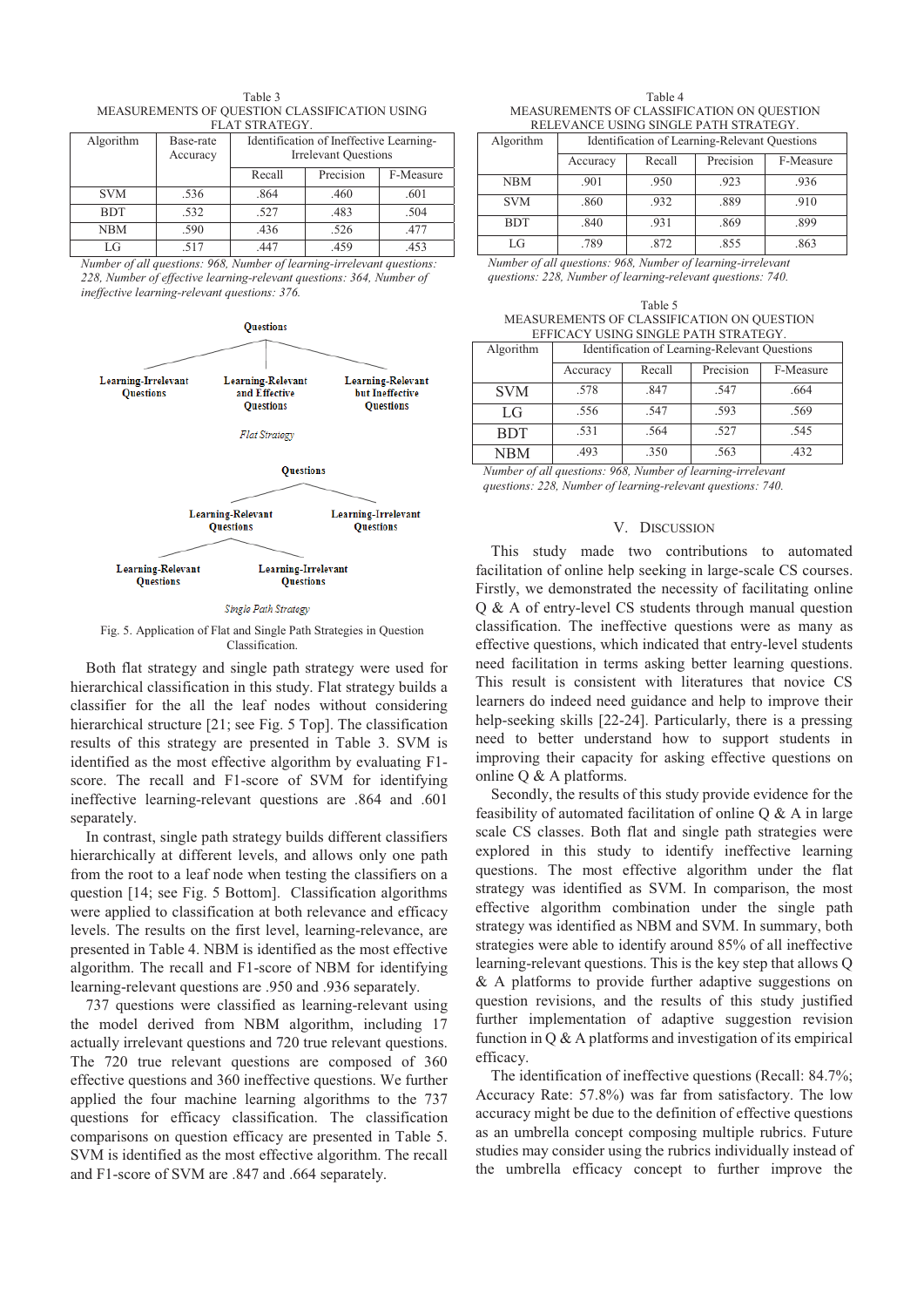| Table 3                                       |
|-----------------------------------------------|
| MEASUREMENTS OF OUESTION CLASSIFICATION USING |
| FLAT STRATEGY.                                |

| Algorithm  | Base-rate<br>Accuracy | Identification of Ineffective Learning-<br><b>Irrelevant Ouestions</b> |           |           |
|------------|-----------------------|------------------------------------------------------------------------|-----------|-----------|
|            |                       | Recall                                                                 | Precision | F-Measure |
| <b>SVM</b> | .536                  | .864                                                                   | .460      | .601      |
| <b>BDT</b> | .532                  | .527                                                                   | .483      | .504      |
| <b>NBM</b> | .590                  | .436                                                                   | .526      | .477      |
| LG         | .517                  | 447                                                                    | .459      | .453      |

*Number of all questions: 968, Number of learning-irrelevant questions: 228, Number of effective learning-relevant questions: 364, Number of ineffective learning-relevant questions: 376.* 



#### Single Path Strategy

Fig. 5. Application of Flat and Single Path Strategies in Question Classification.

Both flat strategy and single path strategy were used for hierarchical classification in this study. Flat strategy builds a classifier for the all the leaf nodes without considering hierarchical structure [21; see Fig. 5 Top]. The classification results of this strategy are presented in Table 3. SVM is identified as the most effective algorithm by evaluating F1 score. The recall and F1-score of SVM for identifying ineffective learning-relevant questions are .864 and .601 separately.

In contrast, single path strategy builds different classifiers hierarchically at different levels, and allows only one path from the root to a leaf node when testing the classifiers on a question [14; see Fig. 5 Bottom]. Classification algorithms were applied to classification at both relevance and efficacy levels. The results on the first level, learning-relevance, are presented in Table 4. NBM is identified as the most effective algorithm. The recall and F1-score of NBM for identifying learning-relevant questions are .950 and .936 separately.

737 questions were classified as learning-relevant using the model derived from NBM algorithm, including 17 actually irrelevant questions and 720 true relevant questions. The 720 true relevant questions are composed of 360 effective questions and 360 ineffective questions. We further applied the four machine learning algorithms to the 737 questions for efficacy classification. The classification comparisons on question efficacy are presented in Table 5. SVM is identified as the most effective algorithm. The recall and F1-score of SVM are .847 and .664 separately.

Table 4 MEASUREMENTS OF CLASSIFICATION ON QUESTION RELEVANCE USING SINGLE PATH STRATEGY.

| Algorithm  | Identification of Learning-Relevant Questions |        |           |           |
|------------|-----------------------------------------------|--------|-----------|-----------|
|            | Accuracy                                      | Recall | Precision | F-Measure |
| <b>NBM</b> | .901                                          | .950   | .923      | .936      |
| <b>SVM</b> | .860                                          | .932   | .889      | .910      |
| <b>BDT</b> | .840                                          | .931   | .869      | .899      |
| LG         | .789                                          | .872   | .855      | .863      |

*Number of all questions: 968, Number of learning-irrelevant questions: 228, Number of learning-relevant questions: 740.*

Table 5 MEASUREMENTS OF CLASSIFICATION ON QUESTION EFFICACY USING SINGLE PATH STRATEGY.

| Algorithm  | Identification of Learning-Relevant Questions |        |           |           |
|------------|-----------------------------------------------|--------|-----------|-----------|
|            | Accuracy                                      | Recall | Precision | F-Measure |
| <b>SVM</b> | .578                                          | .847   | .547      | .664      |
| LG         | .556                                          | .547   | .593      | .569      |
| <b>BDT</b> | .531                                          | .564   | .527      | .545      |
| NBM        | .493                                          | .350   | .563      | .432      |

*Number of all questions: 968, Number of learning-irrelevant questions: 228, Number of learning-relevant questions: 740.*

## V. DISCUSSION

This study made two contributions to automated facilitation of online help seeking in large-scale CS courses. Firstly, we demonstrated the necessity of facilitating online Q & A of entry-level CS students through manual question classification. The ineffective questions were as many as effective questions, which indicated that entry-level students need facilitation in terms asking better learning questions. This result is consistent with literatures that novice CS learners do indeed need guidance and help to improve their help-seeking skills [22-24]. Particularly, there is a pressing need to better understand how to support students in improving their capacity for asking effective questions on online Q & A platforms.

Secondly, the results of this study provide evidence for the feasibility of automated facilitation of online Q & A in large scale CS classes. Both flat and single path strategies were explored in this study to identify ineffective learning questions. The most effective algorithm under the flat strategy was identified as SVM. In comparison, the most effective algorithm combination under the single path strategy was identified as NBM and SVM. In summary, both strategies were able to identify around 85% of all ineffective learning-relevant questions. This is the key step that allows Q & A platforms to provide further adaptive suggestions on question revisions, and the results of this study justified further implementation of adaptive suggestion revision function in  $Q \& A$  platforms and investigation of its empirical efficacy.

The identification of ineffective questions (Recall: 84.7%; Accuracy Rate: 57.8%) was far from satisfactory. The low accuracy might be due to the definition of effective questions as an umbrella concept composing multiple rubrics. Future studies may consider using the rubrics individually instead of the umbrella efficacy concept to further improve the